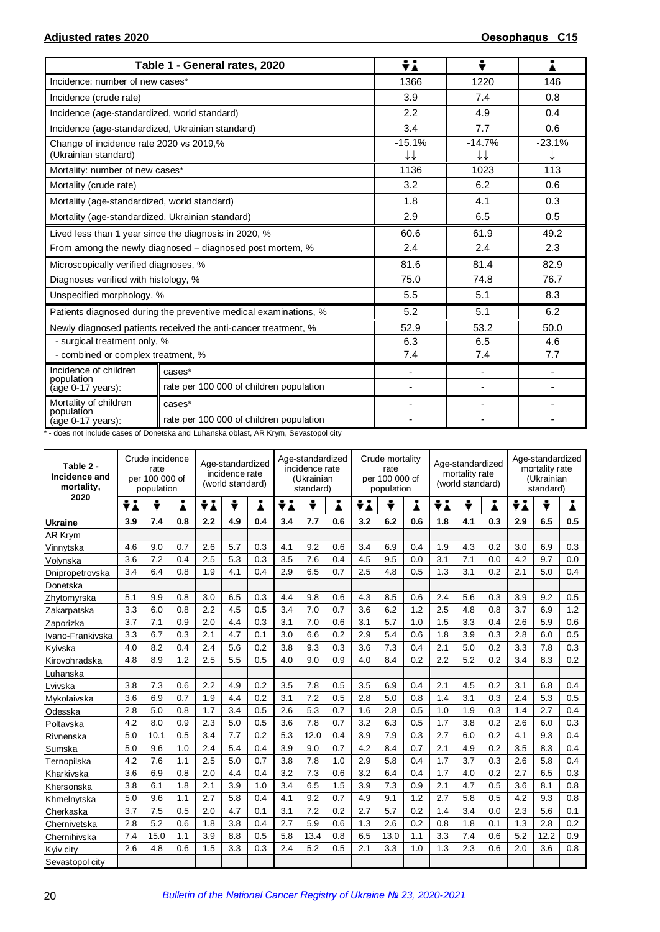|                                                                 | Table 1 - General rates, 2020                                    | ÷i                       | ÷                        |          |
|-----------------------------------------------------------------|------------------------------------------------------------------|--------------------------|--------------------------|----------|
| Incidence: number of new cases*                                 |                                                                  | 1366                     | 1220                     | 146      |
| Incidence (crude rate)                                          |                                                                  | 3.9                      | 7.4                      | 0.8      |
| Incidence (age-standardized, world standard)                    |                                                                  | 2.2                      | 4.9                      | 0.4      |
| Incidence (age-standardized, Ukrainian standard)                |                                                                  | 3.4                      | 7.7                      | 0.6      |
| Change of incidence rate 2020 vs 2019,%<br>(Ukrainian standard) |                                                                  | $-15.1%$<br>↓↓           | $-14.7%$<br>↓↓           | $-23.1%$ |
| Mortality: number of new cases*                                 |                                                                  | 1136                     | 1023                     | 113      |
| Mortality (crude rate)                                          |                                                                  | 3.2                      | 6.2                      | 0.6      |
| Mortality (age-standardized, world standard)                    |                                                                  | 1.8                      | 4.1                      | 0.3      |
| Mortality (age-standardized, Ukrainian standard)                |                                                                  | 2.9                      | 6.5                      | 0.5      |
|                                                                 | Lived less than 1 year since the diagnosis in 2020, %            | 60.6                     | 61.9                     | 49.2     |
|                                                                 | From among the newly diagnosed – diagnosed post mortem, %        | 2.4                      | 2.4                      | 2.3      |
| Microscopically verified diagnoses, %                           |                                                                  | 81.6                     | 81.4                     | 82.9     |
| Diagnoses verified with histology, %                            |                                                                  | 75.0                     | 74.8                     | 76.7     |
| Unspecified morphology, %                                       |                                                                  | 5.5                      | 5.1                      | 8.3      |
|                                                                 | Patients diagnosed during the preventive medical examinations, % | 5.2                      | 5.1                      | 6.2      |
|                                                                 | Newly diagnosed patients received the anti-cancer treatment, %   | 52.9                     | 53.2                     | 50.0     |
| - surgical treatment only, %                                    |                                                                  | 6.3                      | 6.5                      | 4.6      |
| - combined or complex treatment, %                              |                                                                  | 7.4                      | 7.4                      | 7.7      |
| Incidence of children<br>population                             | cases*                                                           | $\overline{\phantom{a}}$ | $\overline{\phantom{0}}$ | ä,       |
| age 0-17 years):                                                | rate per 100 000 of children population                          |                          |                          |          |
| Mortality of children<br>population                             | cases*                                                           | $\overline{\phantom{a}}$ | $\overline{\phantom{0}}$ |          |
| (age 0-17 years):                                               | rate per 100 000 of children population                          |                          |                          |          |

\* - does not include cases of Donetska and Luhanska oblast, AR Krym, Sevastopol city

| Table 2 -<br>Incidence and<br>mortality, | Crude incidence<br>rate<br>per 100 000 of<br>population |      |     | Age-standardized<br>incidence rate<br>(world standard) |     |     | Age-standardized<br>incidence rate<br>(Ukrainian<br>standard) |      |     | Crude mortality<br>rate<br>per 100 000 of<br>population |      |     | Age-standardized<br>mortality rate<br>(world standard) |     |     | Age-standardized<br>mortality rate<br>(Ukrainian<br>standard) |      |     |
|------------------------------------------|---------------------------------------------------------|------|-----|--------------------------------------------------------|-----|-----|---------------------------------------------------------------|------|-----|---------------------------------------------------------|------|-----|--------------------------------------------------------|-----|-----|---------------------------------------------------------------|------|-----|
| 2020                                     | ÷i                                                      | ÷    | i   | ÷λ                                                     | ÷   | i   | ÷i                                                            | ÷    | i   | ÷λ                                                      | ÷    | Å   | ÷<br>÷i                                                |     | Å   | ÷Ι                                                            | ÷    | Å   |
| <b>Ukraine</b>                           | 3.9                                                     | 7.4  | 0.8 | 2.2                                                    | 4.9 | 0.4 | 3.4                                                           | 7.7  | 0.6 | 3.2                                                     | 6.2  | 0.6 | 1.8                                                    | 4.1 | 0.3 | 2.9                                                           | 6.5  | 0.5 |
| AR Krym                                  |                                                         |      |     |                                                        |     |     |                                                               |      |     |                                                         |      |     |                                                        |     |     |                                                               |      |     |
| Vinnytska                                | 4.6                                                     | 9.0  | 0.7 | 2.6                                                    | 5.7 | 0.3 | 4.1                                                           | 9.2  | 0.6 | 3.4                                                     | 6.9  | 0.4 | 1.9                                                    | 4.3 | 0.2 | 3.0                                                           | 6.9  | 0.3 |
| Volynska                                 | 3.6                                                     | 7.2  | 0.4 | 2.5                                                    | 5.3 | 0.3 | 3.5                                                           | 7.6  | 0.4 | 4.5                                                     | 9.5  | 0.0 | 3.1                                                    | 7.1 | 0.0 | 4.2                                                           | 9.7  | 0.0 |
| Dnipropetrovska                          | 3.4                                                     | 6.4  | 0.8 | 1.9                                                    | 4.1 | 0.4 | 2.9                                                           | 6.5  | 0.7 | 2.5                                                     | 4.8  | 0.5 | 1.3                                                    | 3.1 | 0.2 | 2.1                                                           | 5.0  | 0.4 |
| Donetska                                 |                                                         |      |     |                                                        |     |     |                                                               |      |     |                                                         |      |     |                                                        |     |     |                                                               |      |     |
| Zhytomyrska                              | 5.1                                                     | 9.9  | 0.8 | 3.0                                                    | 6.5 | 0.3 | 4.4                                                           | 9.8  | 0.6 | 4.3                                                     | 8.5  | 0.6 | 2.4                                                    | 5.6 | 0.3 | 3.9                                                           | 9.2  | 0.5 |
| Zakarpatska                              | 3.3                                                     | 6.0  | 0.8 | 2.2                                                    | 4.5 | 0.5 | 3.4                                                           | 7.0  | 0.7 | 3.6                                                     | 6.2  | 1.2 | 2.5                                                    | 4.8 | 0.8 | 3.7                                                           | 6.9  | 1.2 |
| Zaporizka                                | 3.7                                                     | 7.1  | 0.9 | 2.0                                                    | 4.4 | 0.3 | 3.1                                                           | 7.0  | 0.6 | 3.1                                                     | 5.7  | 1.0 | 1.5                                                    | 3.3 | 0.4 | 2.6                                                           | 5.9  | 0.6 |
| Ivano-Frankivska                         | 3.3                                                     | 6.7  | 0.3 | 2.1                                                    | 4.7 | 0.1 | 3.0                                                           | 6.6  | 0.2 | 2.9                                                     | 5.4  | 0.6 | 1.8                                                    | 3.9 | 0.3 | 2.8                                                           | 6.0  | 0.5 |
| Kyivska                                  | 4.0                                                     | 8.2  | 0.4 | 2.4                                                    | 5.6 | 0.2 | 3.8                                                           | 9.3  | 0.3 | 3.6                                                     | 7.3  | 0.4 | 2.1                                                    | 5.0 | 0.2 | 3.3                                                           | 7.8  | 0.3 |
| Kirovohradska                            | 4.8                                                     | 8.9  | 1.2 | 2.5                                                    | 5.5 | 0.5 | 4.0                                                           | 9.0  | 0.9 | 4.0                                                     | 8.4  | 0.2 | 2.2                                                    | 5.2 | 0.2 | 3.4                                                           | 8.3  | 0.2 |
| Luhanska                                 |                                                         |      |     |                                                        |     |     |                                                               |      |     |                                                         |      |     |                                                        |     |     |                                                               |      |     |
| Lvivska                                  | 3.8                                                     | 7.3  | 0.6 | 2.2                                                    | 4.9 | 0.2 | 3.5                                                           | 7.8  | 0.5 | 3.5                                                     | 6.9  | 0.4 | 2.1                                                    | 4.5 | 0.2 | 3.1                                                           | 6.8  | 0.4 |
| Mykolaivska                              | 3.6                                                     | 6.9  | 0.7 | 1.9                                                    | 4.4 | 0.2 | 3.1                                                           | 7.2  | 0.5 | 2.8                                                     | 5.0  | 0.8 | 1.4                                                    | 3.1 | 0.3 | 2.4                                                           | 5.3  | 0.5 |
| Odesska                                  | 2.8                                                     | 5.0  | 0.8 | 1.7                                                    | 3.4 | 0.5 | 2.6                                                           | 5.3  | 0.7 | 1.6                                                     | 2.8  | 0.5 | 1.0                                                    | 1.9 | 0.3 | 1.4                                                           | 2.7  | 0.4 |
| Poltavska                                | 4.2                                                     | 8.0  | 0.9 | 2.3                                                    | 5.0 | 0.5 | 3.6                                                           | 7.8  | 0.7 | 3.2                                                     | 6.3  | 0.5 | 1.7                                                    | 3.8 | 0.2 | 2.6                                                           | 6.0  | 0.3 |
| Rivnenska                                | 5.0                                                     | 10.1 | 0.5 | 3.4                                                    | 7.7 | 0.2 | 5.3                                                           | 12.0 | 0.4 | 3.9                                                     | 7.9  | 0.3 | 2.7                                                    | 6.0 | 0.2 | 4.1                                                           | 9.3  | 0.4 |
| Sumska                                   | 5.0                                                     | 9.6  | 1.0 | 2.4                                                    | 5.4 | 0.4 | 3.9                                                           | 9.0  | 0.7 | 4.2                                                     | 8.4  | 0.7 | 2.1                                                    | 4.9 | 0.2 | 3.5                                                           | 8.3  | 0.4 |
| Ternopilska                              | 4.2                                                     | 7.6  | 1.1 | 2.5                                                    | 5.0 | 0.7 | 3.8                                                           | 7.8  | 1.0 | 2.9                                                     | 5.8  | 0.4 | 1.7                                                    | 3.7 | 0.3 | 2.6                                                           | 5.8  | 0.4 |
| Kharkivska                               | 3.6                                                     | 6.9  | 0.8 | 2.0                                                    | 4.4 | 0.4 | 3.2                                                           | 7.3  | 0.6 | 3.2                                                     | 6.4  | 0.4 | 1.7                                                    | 4.0 | 0.2 | 2.7                                                           | 6.5  | 0.3 |
| Khersonska                               | 3.8                                                     | 6.1  | 1.8 | 2.1                                                    | 3.9 | 1.0 | 3.4                                                           | 6.5  | 1.5 | 3.9                                                     | 7.3  | 0.9 | 2.1                                                    | 4.7 | 0.5 | 3.6                                                           | 8.1  | 0.8 |
| Khmelnytska                              | 5.0                                                     | 9.6  | 1.1 | 2.7                                                    | 5.8 | 0.4 | 4.1                                                           | 9.2  | 0.7 | 4.9                                                     | 9.1  | 1.2 | 2.7                                                    | 5.8 | 0.5 | 4.2                                                           | 9.3  | 0.8 |
| Cherkaska                                | 3.7                                                     | 7.5  | 0.5 | 2.0                                                    | 4.7 | 0.1 | 3.1                                                           | 7.2  | 0.2 | 2.7                                                     | 5.7  | 0.2 | 1.4                                                    | 3.4 | 0.0 | 2.3                                                           | 5.6  | 0.1 |
| Chernivetska                             | 2.8                                                     | 5.2  | 0.6 | 1.8                                                    | 3.8 | 0.4 | 2.7                                                           | 5.9  | 0.6 | 1.3                                                     | 2.6  | 0.2 | 0.8                                                    | 1.8 | 0.1 | 1.3                                                           | 2.8  | 0.2 |
| Chernihivska                             | 7.4                                                     | 15.0 | 1.1 | 3.9                                                    | 8.8 | 0.5 | 5.8                                                           | 13.4 | 0.8 | 6.5                                                     | 13.0 | 1.1 | 3.3                                                    | 7.4 | 0.6 | 5.2                                                           | 12.2 | 0.9 |
| Kyiv city                                | 2.6                                                     | 4.8  | 0.6 | 1.5                                                    | 3.3 | 0.3 | 2.4                                                           | 5.2  | 0.5 | 2.1                                                     | 3.3  | 1.0 | 1.3                                                    | 2.3 | 0.6 | 2.0                                                           | 3.6  | 0.8 |
| Sevastopol city                          |                                                         |      |     |                                                        |     |     |                                                               |      |     |                                                         |      |     |                                                        |     |     |                                                               |      |     |